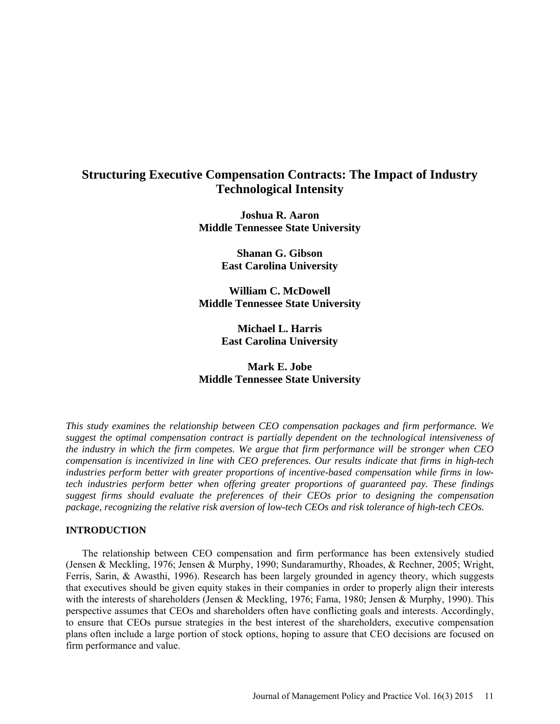# **Structuring Executive Compensation Contracts: The Impact of Industry Technological Intensity**

**Joshua R. Aaron Middle Tennessee State University**

> **Shanan G. Gibson East Carolina University**

**William C. McDowell Middle Tennessee State University**

> **Michael L. Harris East Carolina University**

**Mark E. Jobe Middle Tennessee State University**

*This study examines the relationship between CEO compensation packages and firm performance. We suggest the optimal compensation contract is partially dependent on the technological intensiveness of the industry in which the firm competes. We argue that firm performance will be stronger when CEO compensation is incentivized in line with CEO preferences. Our results indicate that firms in high-tech industries perform better with greater proportions of incentive-based compensation while firms in lowtech industries perform better when offering greater proportions of guaranteed pay. These findings suggest firms should evaluate the preferences of their CEOs prior to designing the compensation package, recognizing the relative risk aversion of low-tech CEOs and risk tolerance of high-tech CEOs.*

### **INTRODUCTION**

The relationship between CEO compensation and firm performance has been extensively studied (Jensen & Meckling, 1976; Jensen & Murphy, 1990; Sundaramurthy, Rhoades, & Rechner, 2005; Wright, Ferris, Sarin, & Awasthi, 1996). Research has been largely grounded in agency theory, which suggests that executives should be given equity stakes in their companies in order to properly align their interests with the interests of shareholders (Jensen & Meckling, 1976; Fama, 1980; Jensen & Murphy, 1990). This perspective assumes that CEOs and shareholders often have conflicting goals and interests. Accordingly, to ensure that CEOs pursue strategies in the best interest of the shareholders, executive compensation plans often include a large portion of stock options, hoping to assure that CEO decisions are focused on firm performance and value.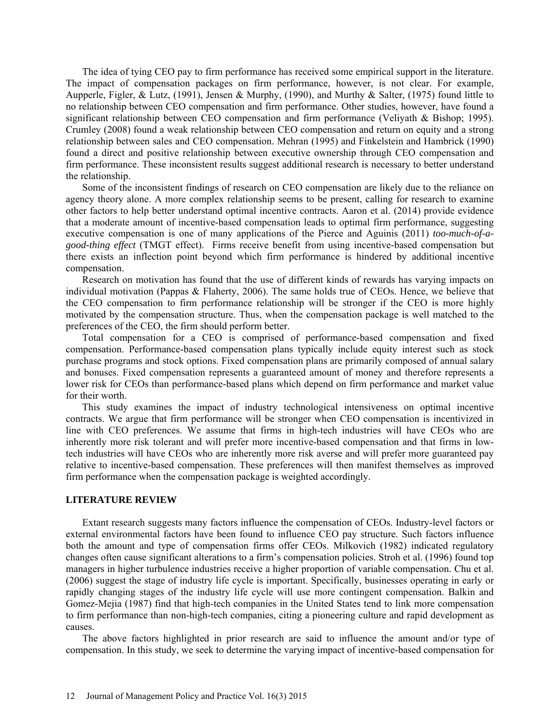The idea of tying CEO pay to firm performance has received some empirical support in the literature. The impact of compensation packages on firm performance, however, is not clear. For example, Aupperle, Figler, & Lutz, (1991), Jensen & Murphy, (1990), and Murthy & Salter, (1975) found little to no relationship between CEO compensation and firm performance. Other studies, however, have found a significant relationship between CEO compensation and firm performance (Veliyath & Bishop; 1995). Crumley (2008) found a weak relationship between CEO compensation and return on equity and a strong relationship between sales and CEO compensation. Mehran (1995) and Finkelstein and Hambrick (1990) found a direct and positive relationship between executive ownership through CEO compensation and firm performance. These inconsistent results suggest additional research is necessary to better understand the relationship.

Some of the inconsistent findings of research on CEO compensation are likely due to the reliance on agency theory alone. A more complex relationship seems to be present, calling for research to examine other factors to help better understand optimal incentive contracts. Aaron et al. (2014) provide evidence that a moderate amount of incentive-based compensation leads to optimal firm performance, suggesting executive compensation is one of many applications of the Pierce and Aguinis (2011) *too-much-of-agood-thing effect* (TMGT effect). Firms receive benefit from using incentive-based compensation but there exists an inflection point beyond which firm performance is hindered by additional incentive compensation.

Research on motivation has found that the use of different kinds of rewards has varying impacts on individual motivation (Pappas & Flaherty, 2006). The same holds true of CEOs. Hence, we believe that the CEO compensation to firm performance relationship will be stronger if the CEO is more highly motivated by the compensation structure. Thus, when the compensation package is well matched to the preferences of the CEO, the firm should perform better.

Total compensation for a CEO is comprised of performance-based compensation and fixed compensation. Performance-based compensation plans typically include equity interest such as stock purchase programs and stock options. Fixed compensation plans are primarily composed of annual salary and bonuses. Fixed compensation represents a guaranteed amount of money and therefore represents a lower risk for CEOs than performance-based plans which depend on firm performance and market value for their worth.

This study examines the impact of industry technological intensiveness on optimal incentive contracts. We argue that firm performance will be stronger when CEO compensation is incentivized in line with CEO preferences. We assume that firms in high-tech industries will have CEOs who are inherently more risk tolerant and will prefer more incentive-based compensation and that firms in lowtech industries will have CEOs who are inherently more risk averse and will prefer more guaranteed pay relative to incentive-based compensation. These preferences will then manifest themselves as improved firm performance when the compensation package is weighted accordingly.

#### **LITERATURE REVIEW**

Extant research suggests many factors influence the compensation of CEOs. Industry-level factors or external environmental factors have been found to influence CEO pay structure. Such factors influence both the amount and type of compensation firms offer CEOs. Milkovich (1982) indicated regulatory changes often cause significant alterations to a firm's compensation policies. Stroh et al. (1996) found top managers in higher turbulence industries receive a higher proportion of variable compensation. Chu et al. (2006) suggest the stage of industry life cycle is important. Specifically, businesses operating in early or rapidly changing stages of the industry life cycle will use more contingent compensation. Balkin and Gomez-Mejia (1987) find that high-tech companies in the United States tend to link more compensation to firm performance than non-high-tech companies, citing a pioneering culture and rapid development as causes.

The above factors highlighted in prior research are said to influence the amount and/or type of compensation. In this study, we seek to determine the varying impact of incentive-based compensation for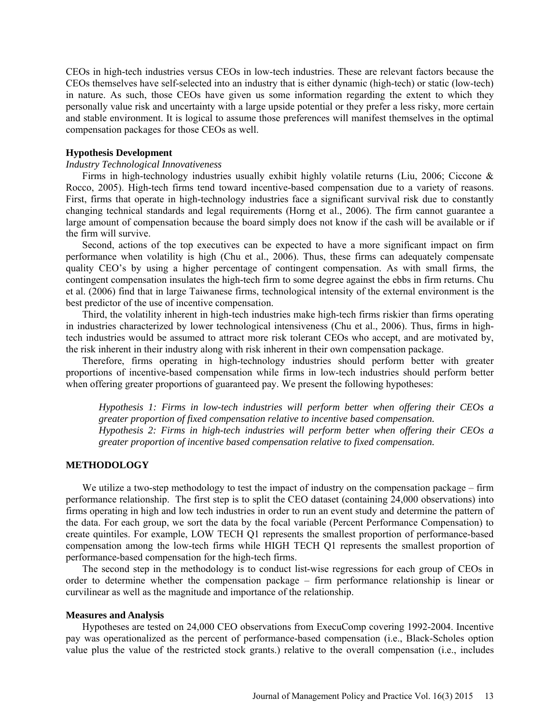CEOs in high-tech industries versus CEOs in low-tech industries. These are relevant factors because the CEOs themselves have self-selected into an industry that is either dynamic (high-tech) or static (low-tech) in nature. As such, those CEOs have given us some information regarding the extent to which they personally value risk and uncertainty with a large upside potential or they prefer a less risky, more certain and stable environment. It is logical to assume those preferences will manifest themselves in the optimal compensation packages for those CEOs as well.

### **Hypothesis Development**

### *Industry Technological Innovativeness*

Firms in high-technology industries usually exhibit highly volatile returns (Liu, 2006; Ciccone  $\&$ Rocco, 2005). High-tech firms tend toward incentive-based compensation due to a variety of reasons. First, firms that operate in high-technology industries face a significant survival risk due to constantly changing technical standards and legal requirements (Horng et al., 2006). The firm cannot guarantee a large amount of compensation because the board simply does not know if the cash will be available or if the firm will survive.

Second, actions of the top executives can be expected to have a more significant impact on firm performance when volatility is high (Chu et al., 2006). Thus, these firms can adequately compensate quality CEO's by using a higher percentage of contingent compensation. As with small firms, the contingent compensation insulates the high-tech firm to some degree against the ebbs in firm returns. Chu et al. (2006) find that in large Taiwanese firms, technological intensity of the external environment is the best predictor of the use of incentive compensation.

Third, the volatility inherent in high-tech industries make high-tech firms riskier than firms operating in industries characterized by lower technological intensiveness (Chu et al., 2006). Thus, firms in hightech industries would be assumed to attract more risk tolerant CEOs who accept, and are motivated by, the risk inherent in their industry along with risk inherent in their own compensation package.

Therefore, firms operating in high-technology industries should perform better with greater proportions of incentive-based compensation while firms in low-tech industries should perform better when offering greater proportions of guaranteed pay. We present the following hypotheses:

*Hypothesis 1: Firms in low-tech industries will perform better when offering their CEOs a greater proportion of fixed compensation relative to incentive based compensation. Hypothesis 2: Firms in high-tech industries will perform better when offering their CEOs a greater proportion of incentive based compensation relative to fixed compensation.*

### **METHODOLOGY**

We utilize a two-step methodology to test the impact of industry on the compensation package – firm performance relationship. The first step is to split the CEO dataset (containing 24,000 observations) into firms operating in high and low tech industries in order to run an event study and determine the pattern of the data. For each group, we sort the data by the focal variable (Percent Performance Compensation) to create quintiles. For example, LOW TECH Q1 represents the smallest proportion of performance-based compensation among the low-tech firms while HIGH TECH Q1 represents the smallest proportion of performance-based compensation for the high-tech firms.

The second step in the methodology is to conduct list-wise regressions for each group of CEOs in order to determine whether the compensation package – firm performance relationship is linear or curvilinear as well as the magnitude and importance of the relationship.

#### **Measures and Analysis**

Hypotheses are tested on 24,000 CEO observations from ExecuComp covering 1992-2004. Incentive pay was operationalized as the percent of performance-based compensation (i.e., Black-Scholes option value plus the value of the restricted stock grants.) relative to the overall compensation (i.e., includes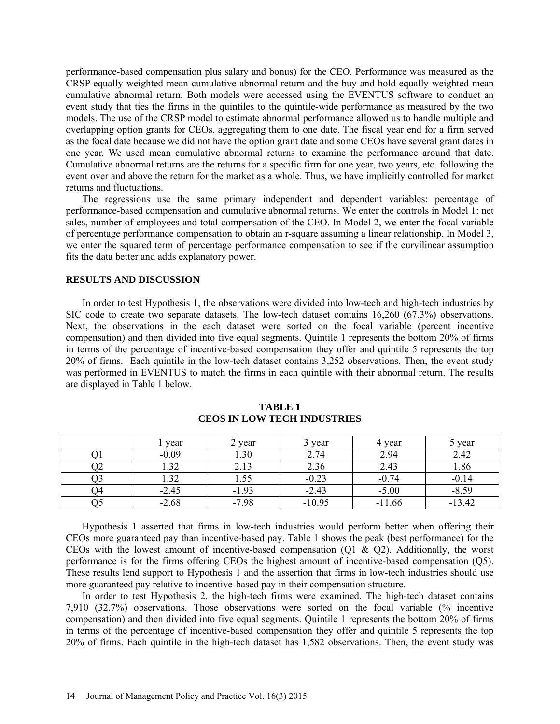performance-based compensation plus salary and bonus) for the CEO. Performance was measured as the CRSP equally weighted mean cumulative abnormal return and the buy and hold equally weighted mean cumulative abnormal return. Both models were accessed using the EVENTUS software to conduct an event study that ties the firms in the quintiles to the quintile-wide performance as measured by the two models. The use of the CRSP model to estimate abnormal performance allowed us to handle multiple and overlapping option grants for CEOs, aggregating them to one date. The fiscal year end for a firm served as the focal date because we did not have the option grant date and some CEOs have several grant dates in one year. We used mean cumulative abnormal returns to examine the performance around that date. Cumulative abnormal returns are the returns for a specific firm for one year, two years, etc. following the event over and above the return for the market as a whole. Thus, we have implicitly controlled for market returns and fluctuations.

The regressions use the same primary independent and dependent variables: percentage of performance-based compensation and cumulative abnormal returns. We enter the controls in Model 1: net sales, number of employees and total compensation of the CEO. In Model 2, we enter the focal variable of percentage performance compensation to obtain an r-square assuming a linear relationship. In Model 3, we enter the squared term of percentage performance compensation to see if the curvilinear assumption fits the data better and adds explanatory power.

### **RESULTS AND DISCUSSION**

In order to test Hypothesis 1, the observations were divided into low-tech and high-tech industries by SIC code to create two separate datasets. The low-tech dataset contains 16,260 (67.3%) observations. Next, the observations in the each dataset were sorted on the focal variable (percent incentive compensation) and then divided into five equal segments. Quintile 1 represents the bottom 20% of firms in terms of the percentage of incentive-based compensation they offer and quintile 5 represents the top 20% of firms. Each quintile in the low-tech dataset contains 3,252 observations. Then, the event study was performed in EVENTUS to match the firms in each quintile with their abnormal return. The results are displayed in Table 1 below.

|     | year          | 2 year           | 3 year   | 4 year   | 5 year   |
|-----|---------------|------------------|----------|----------|----------|
|     | $-0.09$       | $\overline{.}30$ | 2.74     | 2.94     | 2.42     |
| )2  | 32<br><i></i> | 2.13             | 2.36     | 2.43     | 1.86     |
| د ر | 1.32          | 1.55             | $-0.23$  | $-0.74$  | $-0.14$  |
| )4  | $-2.45$       | $-1.93$          | $-2.43$  | $-5.00$  | $-8.59$  |
| JJ  | $-2.68$       | $-7.98$          | $-10.95$ | $-11.66$ | $-13.42$ |

### **TABLE 1 CEOS IN LOW TECH INDUSTRIES**

Hypothesis 1 asserted that firms in low-tech industries would perform better when offering their CEOs more guaranteed pay than incentive-based pay. Table 1 shows the peak (best performance) for the CEOs with the lowest amount of incentive-based compensation  $(01 \& 02)$ . Additionally, the worst performance is for the firms offering CEOs the highest amount of incentive-based compensation (Q5). These results lend support to Hypothesis 1 and the assertion that firms in low-tech industries should use more guaranteed pay relative to incentive-based pay in their compensation structure.

In order to test Hypothesis 2, the high-tech firms were examined. The high-tech dataset contains 7,910 (32.7%) observations. Those observations were sorted on the focal variable (% incentive compensation) and then divided into five equal segments. Quintile 1 represents the bottom 20% of firms in terms of the percentage of incentive-based compensation they offer and quintile 5 represents the top 20% of firms. Each quintile in the high-tech dataset has 1,582 observations. Then, the event study was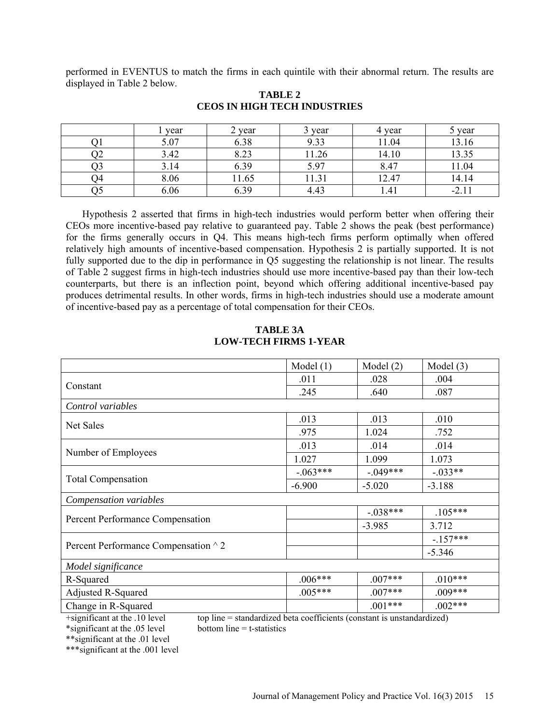performed in EVENTUS to match the firms in each quintile with their abnormal return. The results are displayed in Table 2 below.

|    | year | 2 year<br>$\overline{ }$ | 3 year | 4 year | 5 year            |
|----|------|--------------------------|--------|--------|-------------------|
|    | 5.07 | 6.38                     | 9.33   | 11.04  | 13.16             |
| JΖ | 3.42 |                          | 1.26   | 14.10  | 1225<br>بى ر. ر . |
|    | 3.14 | 6.39                     | 5.97   | 8.47   | 1.04              |
| 94 | 8.06 | 11.65                    | 11.31  | 12.47  | 14.14             |
| ,, | 6.06 | 6.39                     | 4.43   | 1.41   | $-2.1.$           |

# **TABLE 2 CEOS IN HIGH TECH INDUSTRIES**

Hypothesis 2 asserted that firms in high-tech industries would perform better when offering their CEOs more incentive-based pay relative to guaranteed pay. Table 2 shows the peak (best performance) for the firms generally occurs in Q4. This means high-tech firms perform optimally when offered relatively high amounts of incentive-based compensation. Hypothesis 2 is partially supported. It is not fully supported due to the dip in performance in Q5 suggesting the relationship is not linear. The results of Table 2 suggest firms in high-tech industries should use more incentive-based pay than their low-tech counterparts, but there is an inflection point, beyond which offering additional incentive-based pay produces detrimental results. In other words, firms in high-tech industries should use a moderate amount of incentive-based pay as a percentage of total compensation for their CEOs.

|                                      | Model $(1)$ | Model $(2)$ | Model $(3)$ |
|--------------------------------------|-------------|-------------|-------------|
|                                      | .011        | .028        | .004        |
| Constant                             | .245        | .640        | .087        |
| Control variables                    |             |             |             |
| Net Sales                            | .013        | .013        | .010        |
|                                      | .975        | 1.024       | .752        |
|                                      | .013        | .014        | .014        |
| Number of Employees                  | 1.027       | 1.099       | 1.073       |
|                                      | $-.063***$  | $-.049***$  | $-.033**$   |
| <b>Total Compensation</b>            | $-6.900$    | $-5.020$    | $-3.188$    |
| Compensation variables               |             |             |             |
|                                      |             | $-.038***$  | $.105***$   |
| Percent Performance Compensation     |             | $-3.985$    | 3.712       |
|                                      |             |             | $-157***$   |
| Percent Performance Compensation ^ 2 |             |             | $-5.346$    |
| Model significance                   |             |             |             |
| R-Squared                            | $.006***$   | $.007***$   | $.010***$   |
| Adjusted R-Squared                   | $.005***$   | $.007***$   | $.009***$   |
| Change in R-Squared                  |             | $.001***$   | $.002***$   |

# **TABLE 3A LOW-TECH FIRMS 1-YEAR**

 $*$ significant at the .05 level

+significant at the .10 level top line = standardized beta coefficients (constant is unstandardized)<br>\*significant at the .05 level bottom line = t-statistics

\*\*significant at the .01 level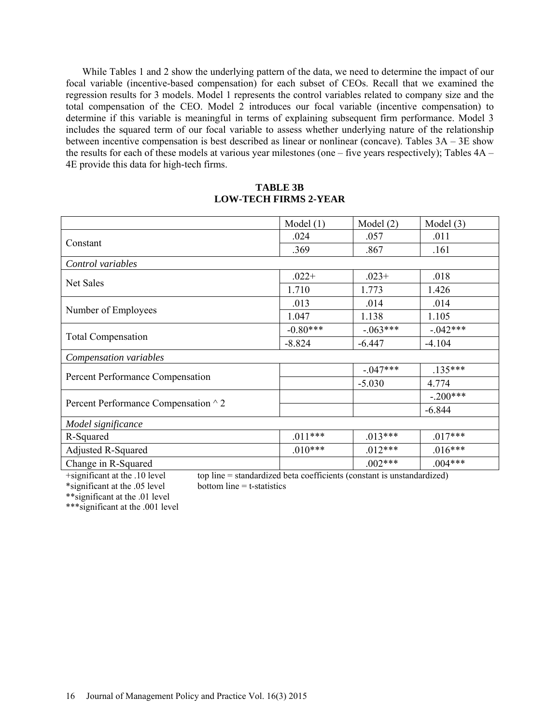While Tables 1 and 2 show the underlying pattern of the data, we need to determine the impact of our focal variable (incentive-based compensation) for each subset of CEOs. Recall that we examined the regression results for 3 models. Model 1 represents the control variables related to company size and the total compensation of the CEO. Model 2 introduces our focal variable (incentive compensation) to determine if this variable is meaningful in terms of explaining subsequent firm performance. Model 3 includes the squared term of our focal variable to assess whether underlying nature of the relationship between incentive compensation is best described as linear or nonlinear (concave). Tables 3A – 3E show the results for each of these models at various year milestones (one – five years respectively); Tables 4A – 4E provide this data for high-tech firms.

# **TABLE 3B LOW-TECH FIRMS 2-YEAR**

|                                      | Model $(1)$ | Model $(2)$ | Model $(3)$ |
|--------------------------------------|-------------|-------------|-------------|
|                                      | .024        | .057        | .011        |
| Constant                             | .369        | .867        | .161        |
| Control variables                    |             |             |             |
| <b>Net Sales</b>                     | $.022+$     | $.023+$     | .018        |
|                                      | 1.710       | 1.773       | 1.426       |
|                                      | .013        | .014        | .014        |
| Number of Employees                  | 1.047       | 1.138       | 1.105       |
|                                      | $-0.80***$  | $-.063***$  | $-.042***$  |
| <b>Total Compensation</b>            | $-8.824$    | $-6.447$    | $-4.104$    |
| Compensation variables               |             |             |             |
|                                      |             | $-.047***$  | $.135***$   |
| Percent Performance Compensation     |             | $-5.030$    | 4.774       |
|                                      |             |             | $-.200***$  |
| Percent Performance Compensation ^ 2 |             |             | $-6.844$    |
| Model significance                   |             |             |             |
| R-Squared                            | $.011***$   | $.013***$   | $.017***$   |
| <b>Adjusted R-Squared</b>            | $.010***$   | $.012***$   | $.016***$   |
| Change in R-Squared                  |             | $.002***$   | $.004***$   |

+significant at the .10 level top line = standardized beta coefficients (constant is unstandardized)<br>\*significant at the .05 level bottom line = t-statistics  $*$ significant at the  $.05$  level

\*\*significant at the .01 level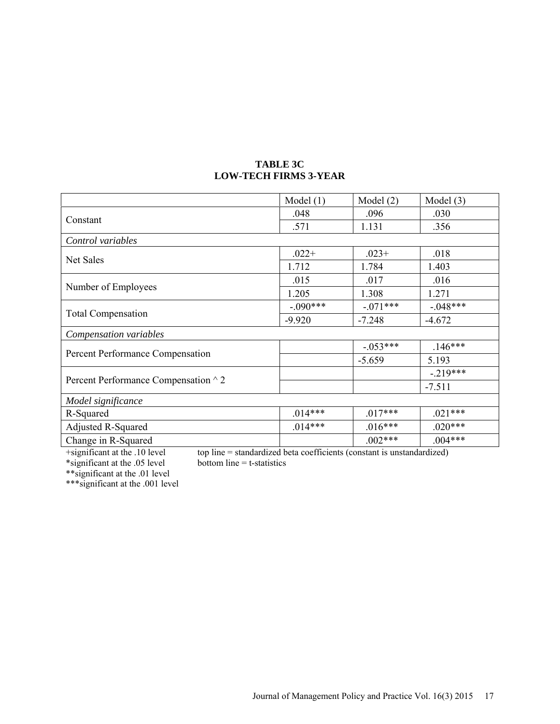| <b>TABLE 3C</b>              |
|------------------------------|
| <b>LOW-TECH FIRMS 3-YEAR</b> |

|                                      | Model $(1)$ | Model $(2)$ | Model $(3)$ |
|--------------------------------------|-------------|-------------|-------------|
|                                      | .048        | .096        | .030        |
| Constant                             | .571        | 1.131       | .356        |
| Control variables                    |             |             |             |
| Net Sales                            | $.022+$     | $.023+$     | .018        |
|                                      | 1.712       | 1.784       | 1.403       |
|                                      | .015        | .017        | .016        |
| Number of Employees                  | 1.205       | 1.308       | 1.271       |
|                                      | $-.090***$  | $-.071***$  | $-.048***$  |
| <b>Total Compensation</b>            | $-9.920$    | $-7.248$    | $-4.672$    |
| Compensation variables               |             |             |             |
|                                      |             | $-.053***$  | $.146***$   |
| Percent Performance Compensation     |             | $-5.659$    | 5.193       |
|                                      |             |             | $-.219***$  |
| Percent Performance Compensation ^ 2 |             |             | $-7.511$    |
| Model significance                   |             |             |             |
| R-Squared                            | $.014***$   | $.017***$   | $.021***$   |
| Adjusted R-Squared                   | $.014***$   | $.016***$   | $.020***$   |
| Change in R-Squared                  |             | $.002***$   | $.004***$   |

top line = standardized beta coefficients (constant is unstandardized) bottom line =  $t$ -statistics \*significant at the .05 level bottom line = t-statistics

\*\*significant at the .01 level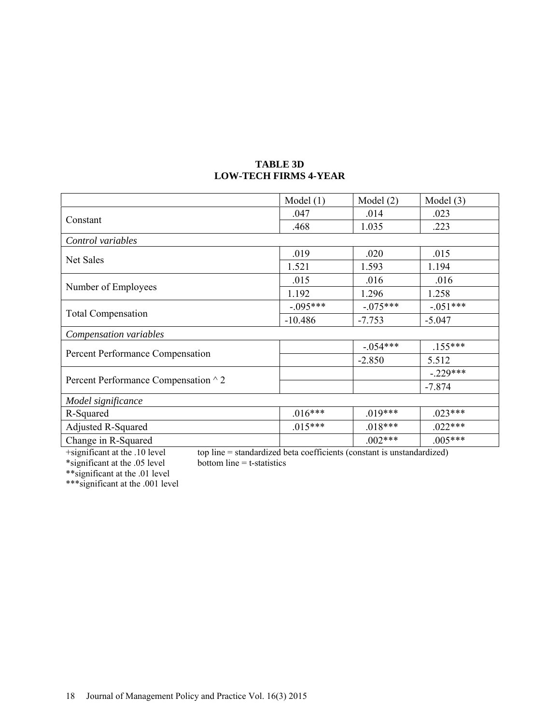|                                      | Model $(1)$ | Model $(2)$ | Model $(3)$ |
|--------------------------------------|-------------|-------------|-------------|
|                                      | .047        | .014        | .023        |
| Constant                             | .468        | 1.035       | .223        |
| Control variables                    |             |             |             |
|                                      | .019        | .020        | .015        |
| Net Sales                            | 1.521       | 1.593       | 1.194       |
|                                      | .015        | .016        | .016        |
| Number of Employees                  | 1.192       | 1.296       | 1.258       |
|                                      | $-.095***$  | $-.075***$  | $-.051***$  |
| <b>Total Compensation</b>            | $-10.486$   | $-7.753$    | $-5.047$    |
| Compensation variables               |             |             |             |
|                                      |             | $-.054***$  | $.155***$   |
| Percent Performance Compensation     |             | $-2.850$    | 5.512       |
|                                      |             |             | $-.229***$  |
| Percent Performance Compensation ^ 2 |             |             | $-7.874$    |
| Model significance                   |             |             |             |
| R-Squared                            | $.016***$   | $.019***$   | $.023***$   |
| <b>Adjusted R-Squared</b>            | $.015***$   | $.018***$   | $.022***$   |
| Change in R-Squared                  |             | $.002***$   | $.005***$   |

## **TABLE 3D LOW-TECH FIRMS 4-YEAR**

+significant at the .10 level top line = standardized beta coefficients (constant is unstandardized)<br>\*significant at the .05 level bottom line = t-statistics \*significant at the .05 level bottom line = t-statistics

\*\*significant at the .01 level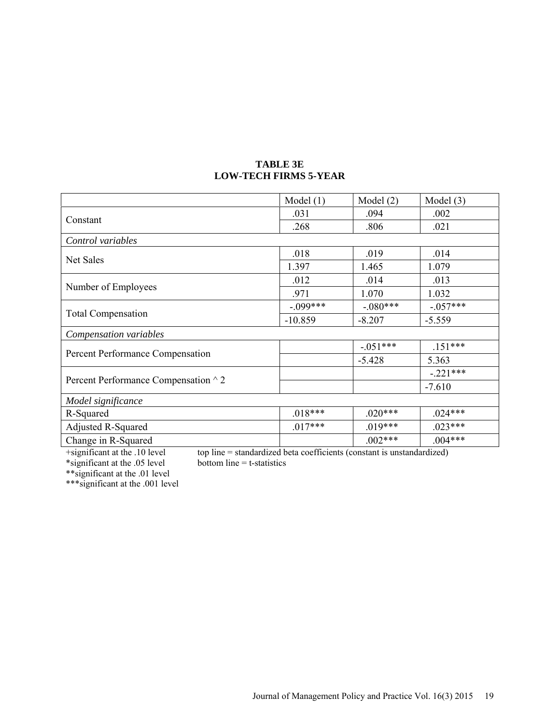|                                      | Model $(1)$ | Model $(2)$ | Model $(3)$ |
|--------------------------------------|-------------|-------------|-------------|
|                                      | .031        | .094        | .002        |
| Constant                             | .268        | .806        | .021        |
| Control variables                    |             |             |             |
| Net Sales                            | .018        | .019        | .014        |
|                                      | 1.397       | 1.465       | 1.079       |
|                                      | .012        | .014        | .013        |
| Number of Employees                  | .971        | 1.070       | 1.032       |
|                                      | $-.099***$  | $-.080***$  | $-.057***$  |
| <b>Total Compensation</b>            | $-10.859$   | $-8.207$    | $-5.559$    |
| Compensation variables               |             |             |             |
|                                      |             | $-.051***$  | $.151***$   |
| Percent Performance Compensation     |             | $-5.428$    | 5.363       |
|                                      |             |             | $-.221***$  |
| Percent Performance Compensation ^ 2 |             |             | $-7.610$    |
| Model significance                   |             |             |             |
| R-Squared                            | $.018***$   | $.020***$   | $.024***$   |
| <b>Adjusted R-Squared</b>            | $.017***$   | $.019***$   | $.023***$   |
| Change in R-Squared                  |             | $.002***$   | $.004***$   |

# **TABLE 3E LOW-TECH FIRMS 5-YEAR**

top line = standardized beta coefficients (constant is unstandardized) bottom line =  $t$ -statistics \*significant at the .05 level bottom line = t-statistics

\*\*significant at the .01 level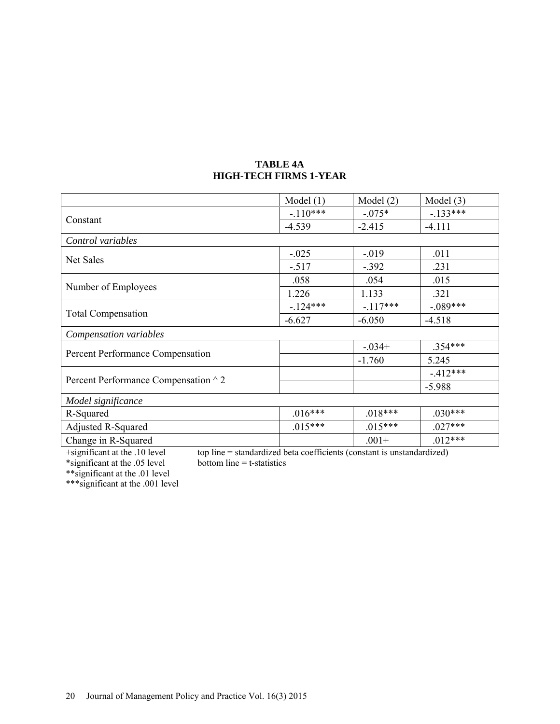|                                      | Model $(1)$ | Model (2) | Model $(3)$ |
|--------------------------------------|-------------|-----------|-------------|
|                                      | $-.110***$  | $-.075*$  | $-133***$   |
| Constant                             | $-4.539$    | $-2.415$  | $-4.111$    |
| Control variables                    |             |           |             |
| Net Sales                            | $-.025$     | $-0.019$  | .011        |
|                                      | $-.517$     | $-.392$   | .231        |
|                                      | .058        | .054      | .015        |
| Number of Employees                  | 1.226       | 1.133     | .321        |
|                                      | $-124***$   | $-117***$ | $-.089***$  |
| <b>Total Compensation</b>            | $-6.627$    | $-6.050$  | $-4.518$    |
| Compensation variables               |             |           |             |
|                                      |             | $-.034+$  | $.354***$   |
| Percent Performance Compensation     |             | $-1.760$  | 5.245       |
|                                      |             |           | $-412***$   |
| Percent Performance Compensation ^ 2 |             |           | $-5.988$    |
| Model significance                   |             |           |             |
| R-Squared                            | $.016***$   | $.018***$ | $.030***$   |
| <b>Adjusted R-Squared</b>            | $.015***$   | $.015***$ | $.027***$   |
| Change in R-Squared                  |             | $.001+$   | $.012***$   |

# **TABLE 4A HIGH-TECH FIRMS 1-YEAR**

+significant at the .10 level top line = standardized beta coefficients (constant is unstandardized)<br>\*significant at the .05 level bottom line = t-statistics \*significant at the .05 level bottom line = t-statistics

\*\*significant at the .01 level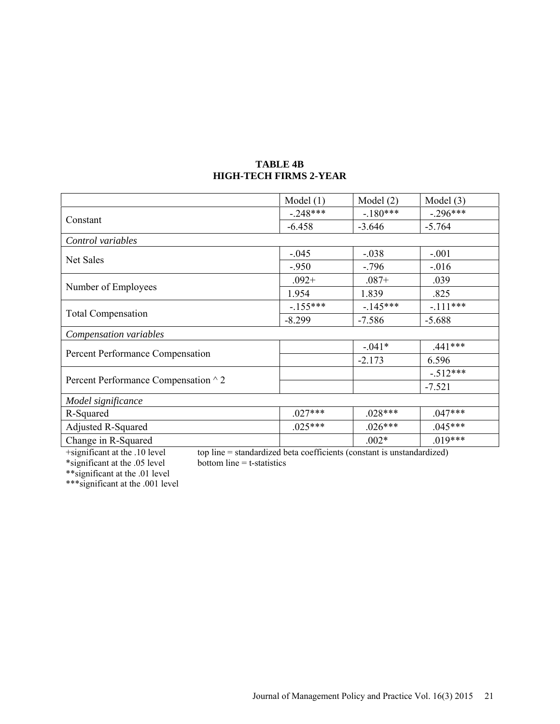|                                      | Model $(1)$ | Model $(2)$ | Model $(3)$ |
|--------------------------------------|-------------|-------------|-------------|
|                                      | $-.248***$  | $-180***$   | $-.296***$  |
| Constant                             | $-6.458$    | $-3.646$    | $-5.764$    |
| Control variables                    |             |             |             |
| Net Sales                            | $-.045$     | $-.038$     | $-.001$     |
|                                      | $-950$      | $-.796$     | $-0.016$    |
|                                      | $.092 +$    | $.087 +$    | .039        |
| Number of Employees                  | 1.954       | 1.839       | .825        |
|                                      | $-155***$   | $-145***$   | $-.111***$  |
| <b>Total Compensation</b>            | $-8.299$    | $-7.586$    | $-5.688$    |
| Compensation variables               |             |             |             |
|                                      |             | $-.041*$    | $.441***$   |
| Percent Performance Compensation     |             | $-2.173$    | 6.596       |
|                                      |             |             | $-512***$   |
| Percent Performance Compensation ^ 2 |             |             | $-7.521$    |
| Model significance                   |             |             |             |
| R-Squared                            | $.027***$   | $.028***$   | $.047***$   |
| <b>Adjusted R-Squared</b>            | $.025***$   | $.026***$   | $.045***$   |
| Change in R-Squared                  |             | $.002*$     | $.019***$   |

# **TABLE 4B HIGH-TECH FIRMS 2-YEAR**

top line = standardized beta coefficients (constant is unstandardized) bottom line =  $t$ -statistics \*significant at the .05 level bottom line = t-statistics

\*\*significant at the .01 level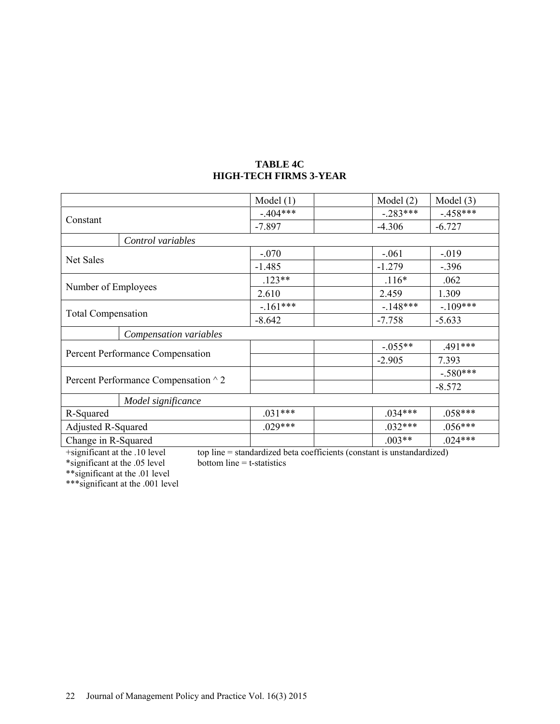# **TABLE 4C HIGH-TECH FIRMS 3-YEAR**

|                                      | Model $(1)$ | Model $(2)$ | Model $(3)$ |
|--------------------------------------|-------------|-------------|-------------|
|                                      | $-.404***$  | $-.283***$  | $-.458***$  |
| Constant                             | $-7.897$    | $-4.306$    | $-6.727$    |
| Control variables                    |             |             |             |
|                                      | $-.070$     | $-.061$     | $-0.019$    |
| Net Sales                            | $-1.485$    | $-1.279$    | $-.396$     |
|                                      | $.123**$    | $.116*$     | .062        |
| Number of Employees                  | 2.610       | 2.459       | 1.309       |
|                                      | $-.161***$  | $-.148***$  | $-.109***$  |
| <b>Total Compensation</b>            | $-8.642$    | $-7.758$    | $-5.633$    |
| Compensation variables               |             |             |             |
|                                      |             | $-.055**$   | .491***     |
| Percent Performance Compensation     |             | $-2.905$    | 7.393       |
|                                      |             |             | $-.580***$  |
| Percent Performance Compensation ^ 2 |             |             | $-8.572$    |
| Model significance                   |             |             |             |
| R-Squared                            | $.031***$   | $.034***$   | $.058***$   |
| <b>Adjusted R-Squared</b>            | $.029***$   | $.032***$   | $.056***$   |
| Change in R-Squared                  |             | $.003**$    | $.024***$   |

top line = standardized beta coefficients (constant is unstandardized) bottom line =  $t$ -statistics \*significant at the .05 level bottom line = t-statistics

\*\*significant at the .01 level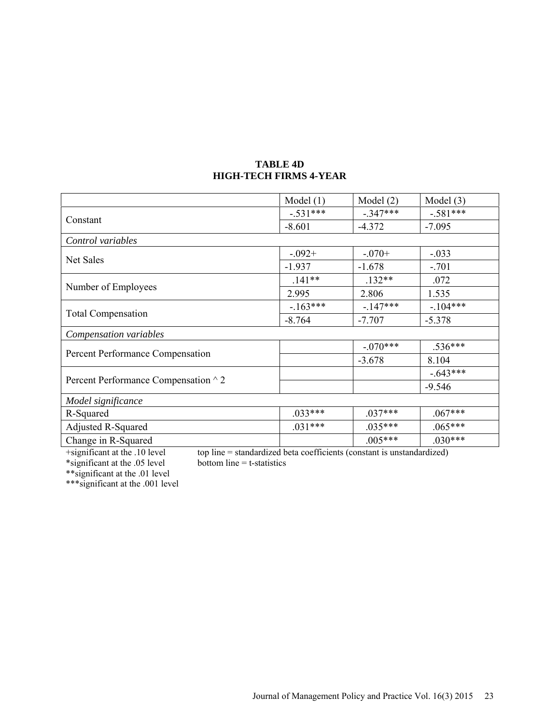|                                      | Model $(1)$ | Model $(2)$ | Model $(3)$ |
|--------------------------------------|-------------|-------------|-------------|
|                                      | $-.531***$  | $-.347***$  | $-.581***$  |
| Constant                             | $-8.601$    | $-4.372$    | $-7.095$    |
| Control variables                    |             |             |             |
| Net Sales                            | $-.092+$    | $-.070+$    | $-.033$     |
|                                      | $-1.937$    | $-1.678$    | $-.701$     |
|                                      | $.141**$    | $.132**$    | .072        |
| Number of Employees                  | 2.995       | 2.806       | 1.535       |
|                                      | $-163***$   | $-147***$   | $-.104***$  |
| <b>Total Compensation</b>            | $-8.764$    | $-7.707$    | $-5.378$    |
| Compensation variables               |             |             |             |
|                                      |             | $-.070***$  | $.536***$   |
| Percent Performance Compensation     |             | $-3.678$    | 8.104       |
|                                      |             |             | $-.643***$  |
| Percent Performance Compensation ^ 2 |             |             | $-9.546$    |
| Model significance                   |             |             |             |
| R-Squared                            | $.033***$   | $.037***$   | $.067***$   |
| <b>Adjusted R-Squared</b>            | $.031***$   | $.035***$   | $.065***$   |
| Change in R-Squared                  |             | $.005***$   | $.030***$   |

### **TABLE 4D HIGH-TECH FIRMS 4-YEAR**

top line = standardized beta coefficients (constant is unstandardized) bottom line =  $t$ -statistics \*significant at the .05 level bottom line = t-statistics

\*\*significant at the .01 level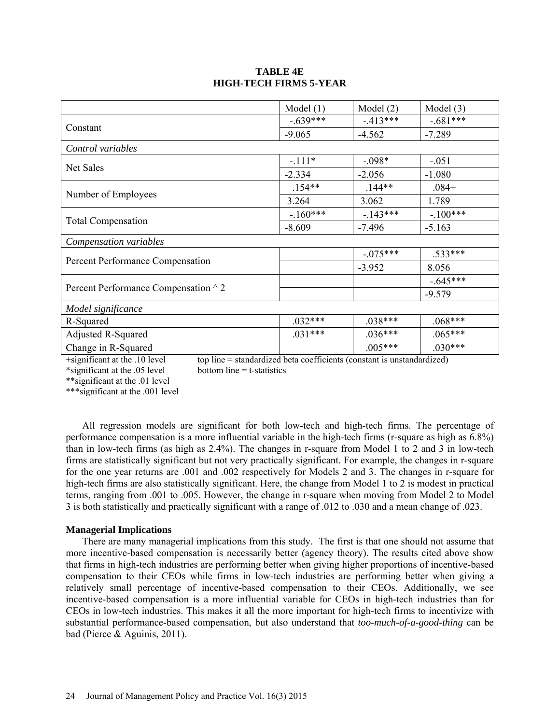# **TABLE 4E HIGH-TECH FIRMS 5-YEAR**

|                                      | Model $(1)$ | Model $(2)$ | Model $(3)$ |
|--------------------------------------|-------------|-------------|-------------|
| Constant                             | $-639***$   | $-413***$   | $-.681***$  |
|                                      | $-9.065$    | $-4.562$    | $-7.289$    |
| Control variables                    |             |             |             |
| Net Sales                            | $-.111*$    | $-.098*$    | $-.051$     |
|                                      | $-2.334$    | $-2.056$    | $-1.080$    |
| Number of Employees                  | $.154**$    | $.144**$    | $.084+$     |
|                                      | 3.264       | 3.062       | 1.789       |
| <b>Total Compensation</b>            | $-160***$   | $-143***$   | $-100***$   |
|                                      | $-8.609$    | $-7.496$    | $-5.163$    |
| Compensation variables               |             |             |             |
| Percent Performance Compensation     |             | $-.075***$  | .533***     |
|                                      |             | $-3.952$    | 8.056       |
| Percent Performance Compensation ^ 2 |             |             | $-.645***$  |
|                                      |             |             | $-9.579$    |
| Model significance                   |             |             |             |
| R-Squared                            | $.032***$   | $.038***$   | $.068***$   |
| Adjusted R-Squared                   | $.031***$   | $.036***$   | $.065***$   |
| Change in R-Squared                  |             | $.005***$   | $.030***$   |

+significant at the .10 level top line = standardized beta coefficients (constant is unstandardized)

\*significant at the .05 level bottom line = t-statistics

\*\*significant at the .01 level

\*\*\*significant at the .001 level

All regression models are significant for both low-tech and high-tech firms. The percentage of performance compensation is a more influential variable in the high-tech firms (r-square as high as 6.8%) than in low-tech firms (as high as 2.4%). The changes in r-square from Model 1 to 2 and 3 in low-tech firms are statistically significant but not very practically significant. For example, the changes in r-square for the one year returns are .001 and .002 respectively for Models 2 and 3. The changes in r-square for high-tech firms are also statistically significant. Here, the change from Model 1 to 2 is modest in practical terms, ranging from .001 to .005. However, the change in r-square when moving from Model 2 to Model 3 is both statistically and practically significant with a range of .012 to .030 and a mean change of .023.

### **Managerial Implications**

There are many managerial implications from this study. The first is that one should not assume that more incentive-based compensation is necessarily better (agency theory). The results cited above show that firms in high-tech industries are performing better when giving higher proportions of incentive-based compensation to their CEOs while firms in low-tech industries are performing better when giving a relatively small percentage of incentive-based compensation to their CEOs. Additionally, we see incentive-based compensation is a more influential variable for CEOs in high-tech industries than for CEOs in low-tech industries. This makes it all the more important for high-tech firms to incentivize with substantial performance-based compensation, but also understand that *too-much-of-a-good-thing* can be bad (Pierce & Aguinis, 2011).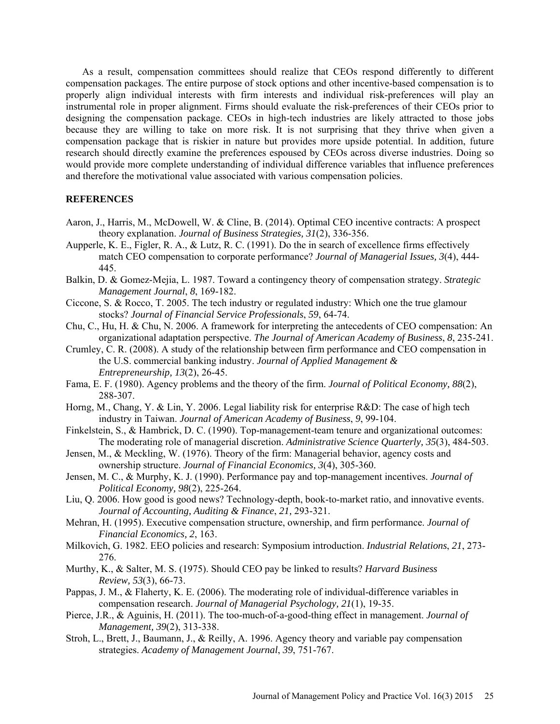As a result, compensation committees should realize that CEOs respond differently to different compensation packages. The entire purpose of stock options and other incentive-based compensation is to properly align individual interests with firm interests and individual risk-preferences will play an instrumental role in proper alignment. Firms should evaluate the risk-preferences of their CEOs prior to designing the compensation package. CEOs in high-tech industries are likely attracted to those jobs because they are willing to take on more risk. It is not surprising that they thrive when given a compensation package that is riskier in nature but provides more upside potential. In addition, future research should directly examine the preferences espoused by CEOs across diverse industries. Doing so would provide more complete understanding of individual difference variables that influence preferences and therefore the motivational value associated with various compensation policies.

### **REFERENCES**

- Aaron, J., Harris, M., McDowell, W. & Cline, B. (2014). Optimal CEO incentive contracts: A prospect theory explanation. *Journal of Business Strategies, 31*(2), 336-356.
- Aupperle, K. E., Figler, R. A., & Lutz, R. C. (1991). Do the in search of excellence firms effectively match CEO compensation to corporate performance? *Journal of Managerial Issues, 3*(4), 444- 445.
- Balkin, D. & Gomez-Mejia, L. 1987. Toward a contingency theory of compensation strategy. *Strategic Management Journal*, *8*, 169-182.
- Ciccone, S. & Rocco, T. 2005. The tech industry or regulated industry: Which one the true glamour stocks? *Journal of Financial Service Professionals*, *59*, 64-74.
- Chu, C., Hu, H. & Chu, N. 2006. A framework for interpreting the antecedents of CEO compensation: An organizational adaptation perspective. *The Journal of American Academy of Business*, *8*, 235-241.
- Crumley, C. R. (2008). A study of the relationship between firm performance and CEO compensation in the U.S. commercial banking industry. *Journal of Applied Management & Entrepreneurship, 13*(2), 26-45.
- Fama, E. F. (1980). Agency problems and the theory of the firm. *Journal of Political Economy, 88*(2), 288-307.
- Horng, M., Chang, Y. & Lin, Y. 2006. Legal liability risk for enterprise R&D: The case of high tech industry in Taiwan. *Journal of American Academy of Business*, *9*, 99-104.
- Finkelstein, S., & Hambrick, D. C. (1990). Top-management-team tenure and organizational outcomes: The moderating role of managerial discretion. *Administrative Science Quarterly, 35*(3), 484-503.
- Jensen, M., & Meckling, W. (1976). Theory of the firm: Managerial behavior, agency costs and ownership structure. *Journal of Financial Economics, 3*(4), 305-360.
- Jensen, M. C., & Murphy, K. J. (1990). Performance pay and top-management incentives. *Journal of Political Economy, 98*(2), 225-264.
- Liu, Q. 2006. How good is good news? Technology-depth, book-to-market ratio, and innovative events. *Journal of Accounting, Auditing & Finance*, *21,* 293-321.
- Mehran, H. (1995). Executive compensation structure, ownership, and firm performance. *Journal of Financial Economics, 2*, 163.
- Milkovich, G. 1982. EEO policies and research: Symposium introduction. *Industrial Relations*, *21*, 273- 276.
- Murthy, K., & Salter, M. S. (1975). Should CEO pay be linked to results? *Harvard Business Review, 53*(3), 66-73.
- Pappas, J. M., & Flaherty, K. E. (2006). The moderating role of individual-difference variables in compensation research. *Journal of Managerial Psychology, 21*(1), 19-35.
- Pierce, J.R., & Aguinis, H. (2011). The too-much-of-a-good-thing effect in management. *Journal of Management, 39*(2), 313-338.
- Stroh, L., Brett, J., Baumann, J., & Reilly, A. 1996. Agency theory and variable pay compensation strategies. *Academy of Management Journal*, *39*, 751-767.